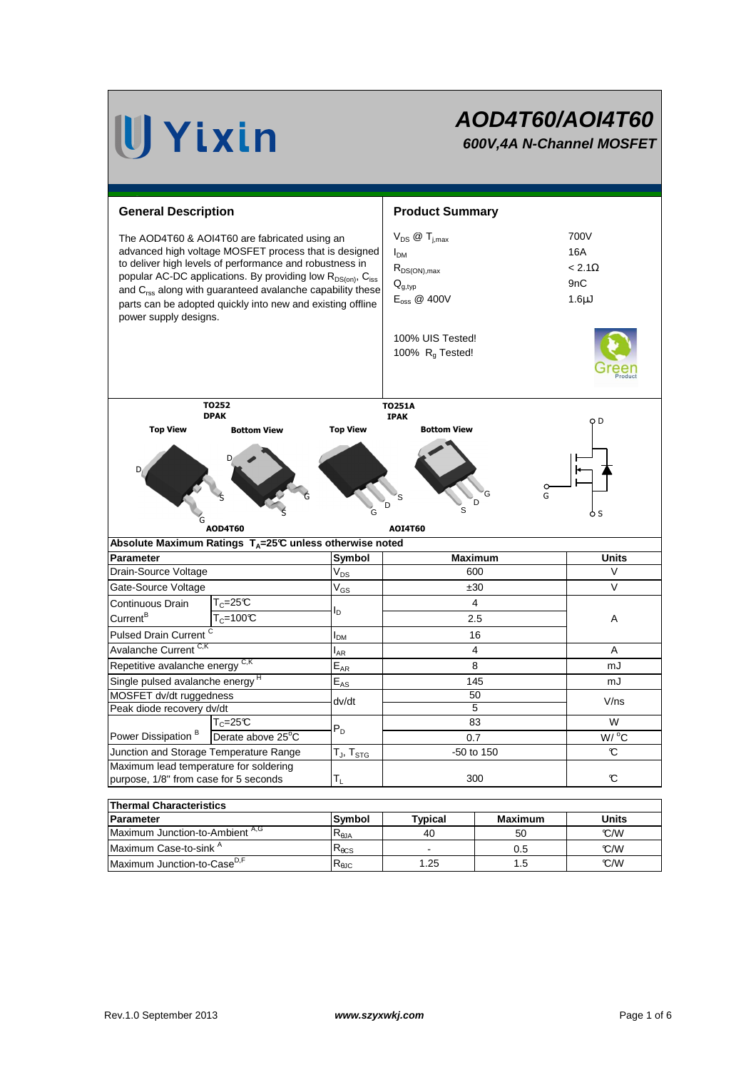### **AOD4T60/AOI4T60 600V,4A N-Channel MOSFET**

**General Description Community Community Community Community Community Community Community Community Community**  $V_{DS}$  @ T<sub>imax</sub> 700V  $I_{DM}$  16A  $R_{DS(ON),max}$  < 2.1 $\Omega$  $Q_{q,\text{tvo}}$  9nC  $E_{\text{oss}} \otimes 400V$  1.6µJ 100% UIS Tested! 100%  $R<sub>g</sub>$  Tested! **Symbol**  $\mathsf{V}_{\mathsf{DS}}$  $V_{GS}$ IDM  $I_{AR}$  $E_{AR}$  $E_{AS}$ MOSFET dv/dt ruggedness Peak diode recovery dv/dt  $\mathsf{T}_{\mathsf{J}}$ ,  $\mathsf{T}_{\mathsf{STG}}$  $\mathsf{T}_1$ **Symbol**  $R_{\theta$ JA  $R_{\theta CS}$  $R_{\theta$ JC  $\frac{38}{5}$  V/ns mJ A mJ 40 **Parameter Typical Parameter Typical** W  $W/$ <sup>o</sup>C Maximum lead temperature for soldering purpose, 1/8" from case for 5 seconds 300 °C Pulsed Drain Current <sup>C</sup> and Contact Tensor Contact Tensor Contact Tensor Contact Tensor Contact Tensor Contact Tensor Contact Tensor Contact Tensor Contact Tensor Contact Tensor Contact Tensor Contact Tensor Contact Tenso Continuous Drain Current<sup>B</sup> Maximum Junction-to-Ambient A,G  $T_c = 25C$ 50 **Maximum Thermal Characteristics Units**  $C/W$  $\mathsf{I}_\mathsf{D}$  $T_c=25^\circ C$  |  $4$ 2.5 600 Junction and Storage Temperature Range  $[T_{\rm J}, T_{\rm STG}]$  50 to 150  $\,$ Power Dissipation<sup>B</sup> Gate-Source Voltage  $V_{GS}$   $\qquad \qquad$   $\qquad \qquad$   $\qquad \qquad$   $\qquad \qquad$   $\qquad \qquad$  V  $T_c$ =100°C  $\qquad \qquad$   $\qquad \qquad$  2.5 A  $\frac{dv}{dt}$  50 The AOD4T60 & AOI4T60 are fabricated using an advanced high voltage MOSFET process that is designed to deliver high levels of performance and robustness in popular AC-DC applications. By providing low  $R_{DS(on)}$ , C<sub>iss</sub> and  $C_{\text{rss}}$  along with guaranteed avalanche capability these parts can be adopted quickly into new and existing offline power supply designs. V **Parameter Units Absolute Maximum Ratings TA=25°C unless otherwise noted Maximum** Drain-Source Voltage Avalanche Current C,K Repetitive avalanche energy  ${}^{C,K}$   $\qquad \qquad$   $\qquad \qquad$   $\qquad$   $\qquad$   $\qquad$  8 Derate above 25°C 83 0.7 4 Single pulsed avalanche energy  $E_{AS}$   $E_{AS}$  145 P<sub>D</sub> Maximum Case-to-sink A Maximum Junction-to-Case<sup>D,F</sup>  $\begin{vmatrix} R_{\text{AlC}} & | & 1.25 & | & 1.5 \end{vmatrix}$  T.5 C/W °C/W 1.25 0.5 1.5 - G D S G S D G S D Top View TO252 DPAK Bottom View AOD4T60 G G D D D S S Top View Bottom View TO251A IPAK AOI4T60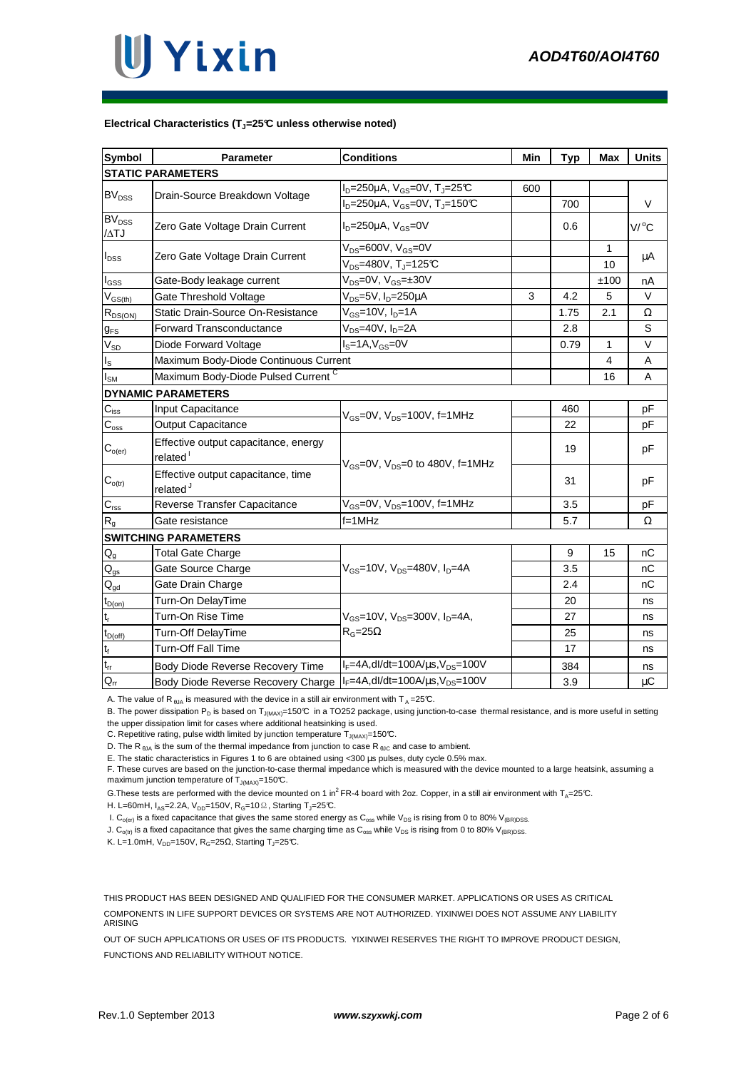#### **Electrical Characteristics (TJ=25°C unless otherwise noted)**

| Symbol                                              | <b>Parameter</b>                                             | <b>Conditions</b>                                                     | Min | Typ  | Max            | <b>Units</b> |
|-----------------------------------------------------|--------------------------------------------------------------|-----------------------------------------------------------------------|-----|------|----------------|--------------|
| <b>STATIC PARAMETERS</b>                            |                                                              |                                                                       |     |      |                |              |
| <b>BV<sub>DSS</sub></b>                             | Drain-Source Breakdown Voltage                               | $I_D = 250 \mu A$ , $V_{GS} = 0V$ , $T_J = 25 \text{C}$               | 600 |      |                |              |
|                                                     |                                                              | $I_D = 250 \mu A$ , V <sub>GS</sub> =0V, T <sub>J</sub> =150℃         |     | 700  |                | V            |
| $\overline{\text{BV}}_{\text{DSS}}$<br>$/\Delta TJ$ | Zero Gate Voltage Drain Current                              | $I_D = 250 \mu A$ , $V_{GS} = 0V$                                     |     | 0.6  |                | V/°C         |
| $I_{\text{DSS}}$                                    | Zero Gate Voltage Drain Current                              | $V_{DS}$ =600V, $V_{GS}$ =0V<br>$V_{DS}$ =480V, T <sub>J</sub> =125°C |     |      | 1<br>10        | μA           |
| $I_{GSS}$                                           | Gate-Body leakage current                                    | $V_{DS} = 0V$ , $V_{GS} = \pm 30V$                                    |     |      | ±100           | nA           |
| $V_{GS(th)}$                                        | Gate Threshold Voltage                                       | V <sub>DS</sub> =5V, I <sub>D</sub> =250μA                            | 3   | 4.2  | 5              | V            |
| $R_{DS(ON)}$                                        | Static Drain-Source On-Resistance                            | V <sub>GS</sub> =10V, I <sub>D</sub> =1A                              |     | 1.75 | 2.1            | Ω            |
| $g_{FS}$                                            | <b>Forward Transconductance</b>                              | $V_{DS}$ =40V, $I_D$ =2A                                              |     | 2.8  |                | S            |
| $\rm V_{SD}$                                        | Diode Forward Voltage                                        | $IS=1A, VGS=0V$                                                       |     | 0.79 | $\mathbf{1}$   | V            |
| $I_{\rm S}$                                         | Maximum Body-Diode Continuous Current                        |                                                                       |     |      | $\overline{4}$ | A            |
| I <sub>sм</sub>                                     | Maximum Body-Diode Pulsed Current C                          |                                                                       |     |      | 16             | A            |
| <b>DYNAMIC PARAMETERS</b>                           |                                                              |                                                                       |     |      |                |              |
| $C_{iss}$                                           | Input Capacitance                                            | $V_{GS}$ =0V, $V_{DS}$ =100V, f=1MHz                                  |     | 460  |                | рF           |
| $C_{\text{oss}}$                                    | <b>Output Capacitance</b>                                    |                                                                       |     | 22   |                | рF           |
| $\mathsf{C}_{\mathsf{o}(\mathsf{er})}$              | Effective output capacitance, energy<br>related <sup>1</sup> | $V_{\text{GS}} = 0V$ , $V_{\text{DS}} = 0$ to 480V, f=1MHz            |     | 19   |                | pF           |
| $C_{o(tr)}$                                         | Effective output capacitance, time<br>related <sup>J</sup>   |                                                                       |     | 31   |                | pF           |
| $\mathsf{C}_{\mathsf{rss}}$                         | Reverse Transfer Capacitance                                 | $V_{GS}$ =0V, $V_{DS}$ =100V, f=1MHz                                  |     | 3.5  |                | pF           |
| $R_{g}$                                             | Gate resistance                                              | $f = 1$ MHz                                                           |     | 5.7  |                | Ω            |
| <b>SWITCHING PARAMETERS</b>                         |                                                              |                                                                       |     |      |                |              |
| $\mathsf{Q}_{\underline{\mathsf{g}}}$               | Total Gate Charge                                            | $V_{GS}$ =10V, $V_{DS}$ =480V, $I_{D}$ =4A                            |     | 9    | 15             | nС           |
| $\mathsf{Q}_{\text{gs}}$                            | Gate Source Charge                                           |                                                                       |     | 3.5  |                | nC           |
| $Q_{gd}$                                            | Gate Drain Charge                                            |                                                                       |     | 2.4  |                | nС           |
| $t_{D(0n)}$                                         | Turn-On DelayTime                                            |                                                                       |     | 20   |                | ns           |
| t,                                                  | Turn-On Rise Time                                            | $V_{GS}$ =10V, $V_{DS}$ =300V, $I_{D}$ =4A,<br>$R_G = 25\Omega$       |     | 27   |                | ns           |
| $t_{D(Off)}$                                        | Turn-Off DelayTime                                           |                                                                       |     | 25   |                | ns           |
| $\mathfrak{t}_{\mathfrak{f}}$                       | <b>Turn-Off Fall Time</b>                                    |                                                                       |     | 17   |                | ns           |
| $t_{rr}$                                            | Body Diode Reverse Recovery Time                             | $I_F = 4A$ , dl/dt=100A/ $\mu$ s, V <sub>DS</sub> =100V               |     | 384  |                | ns           |
| $\mathsf{Q}_{\mathsf{rr}}$                          | Body Diode Reverse Recovery Charge                           | $I_F = 4A$ , dl/dt=100A/ $\mu$ s, V <sub>DS</sub> =100V               |     | 3.9  |                | μC           |

A. The value of R<sub>BJA</sub> is measured with the device in a still air environment with T<sub>A</sub> = 25°C.

B. The power dissipation P<sub>D</sub> is based on T<sub>J(MAX)</sub>=150°C in a TO252 package, using junction-to-case thermal resistance, and is more useful in setting the upper dissipation limit for cases where additional heatsinking is used.

C. Repetitive rating, pulse width limited by junction temperature  $T_{J(MAX)}$ =150°C.

D. The R<sub> $\theta$ JA</sub> is the sum of the thermal impedance from junction to case R  $_{\theta$ JC and case to ambient.

E. The static characteristics in Figures 1 to 6 are obtained using <300 µs pulses, duty cycle 0.5% max.

F. These curves are based on the junction-to-case thermal impedance which is measured with the device mounted to a large heatsink, assuming a maximum junction temperature of  $T_{J(MAX)}$ =150°C.

G. These tests are performed with the device mounted on 1 in<sup>2</sup>FR-4 board with 2oz. Copper, in a still air environment with T<sub>A</sub>=25°C.

H. L=60mH,  $I_{AS}$ =2.2A,  $V_{DD}$ =150V, R<sub>G</sub>=10 $\Omega$ , Starting T<sub>J</sub>=25°C.

I.  $C_{o(er)}$  is a fixed capacitance that gives the same stored energy as  $C_{oss}$  while  $V_{DS}$  is rising from 0 to 80%  $V_{(BR)DSS}$ .

J.  $C_{o(t)}$  is a fixed capacitance that gives the same charging time as  $C_{oss}$  while  $V_{DS}$  is rising from 0 to 80%  $V_{(BR)DSS}$ .

K. L=1.0mH, V<sub>DD</sub>=150V, R<sub>G</sub>=25 $\Omega$ , Starting T<sub>J</sub>=25°C.

THIS PRODUCT HAS BEEN DESIGNED AND QUALIFIED FOR THE CONSUMER MARKET. APPLICATIONS OR USES AS CRITICAL COMPONENTS IN LIFE SUPPORT DEVICES OR SYSTEMS ARE NOT AUTHORIZED. YIXINWEI DOES NOT ASSUME ANY LIABILITY ARISING

OUT OF SUCH APPLICATIONS OR USES OF ITS PRODUCTS. YIXINWEI RESERVES THE RIGHT TO IMPROVE PRODUCT DESIGN, FUNCTIONS AND RELIABILITY WITHOUT NOTICE.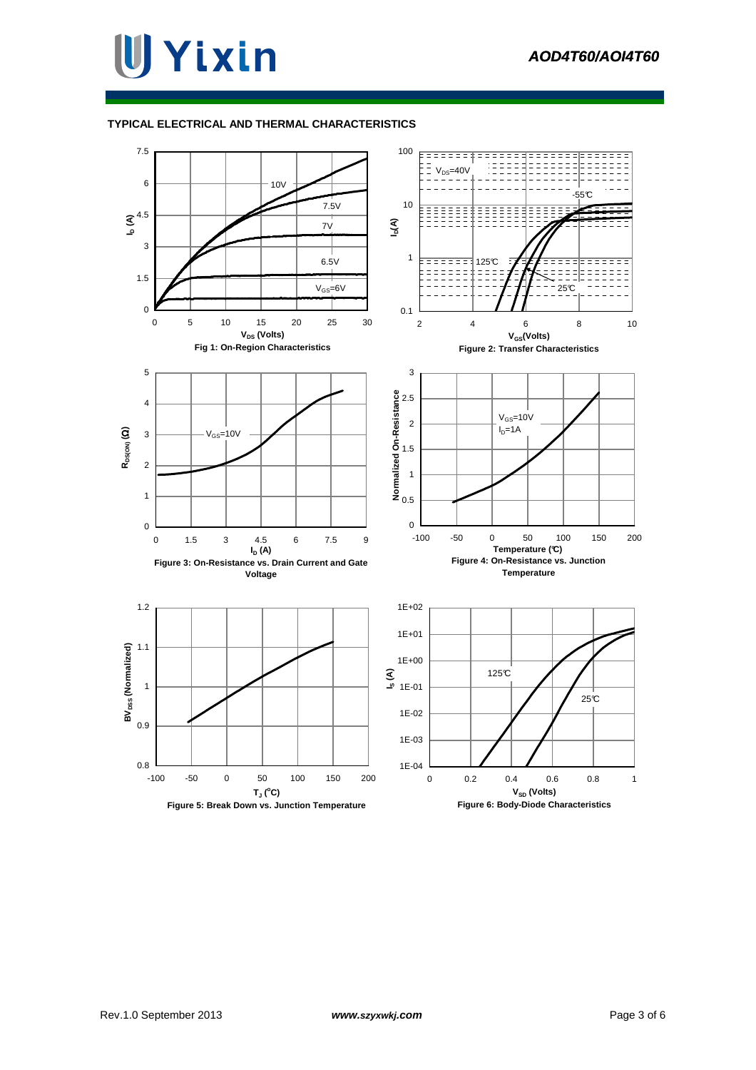#### **TYPICAL ELECTRICAL AND THERMAL CHARACTERISTICS**

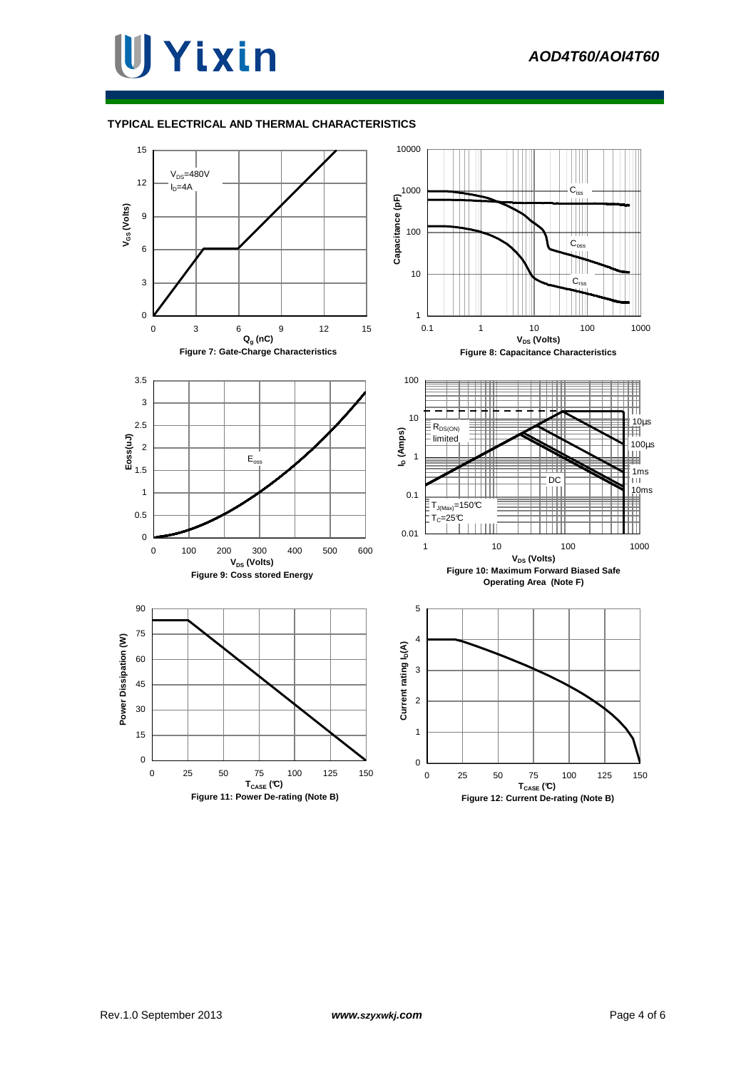#### **TYPICAL ELECTRICAL AND THERMAL CHARACTERISTICS**

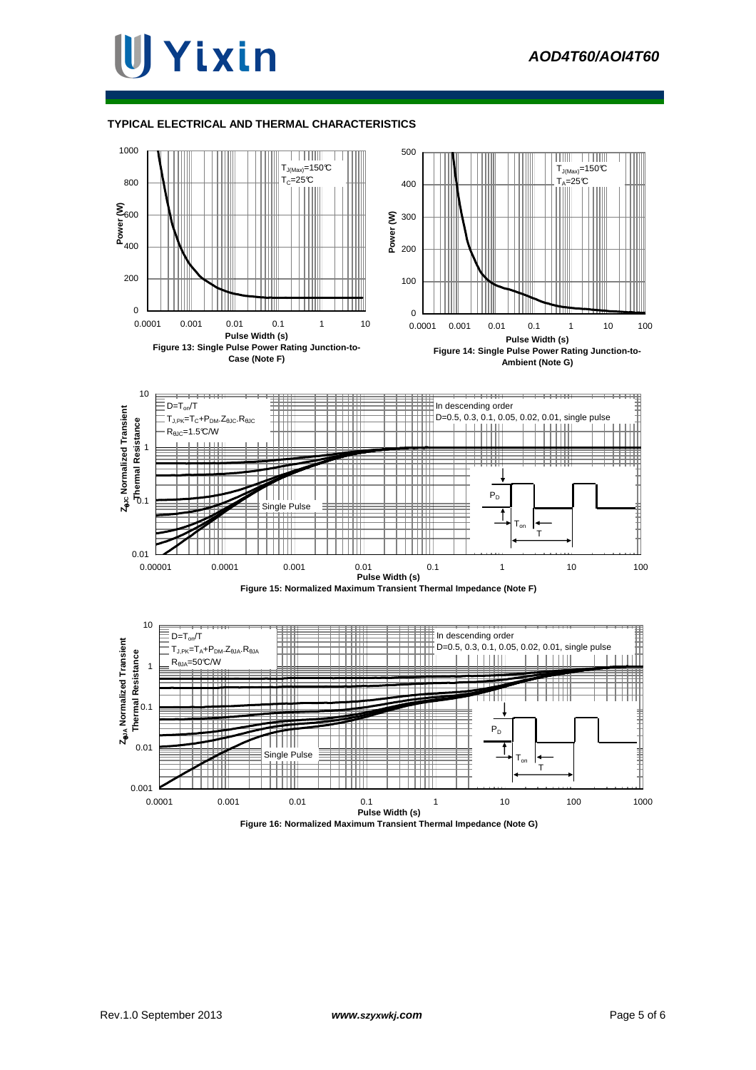### lJ Yixin

#### **TYPICAL ELECTRICAL AND THERMAL CHARACTERISTICS**